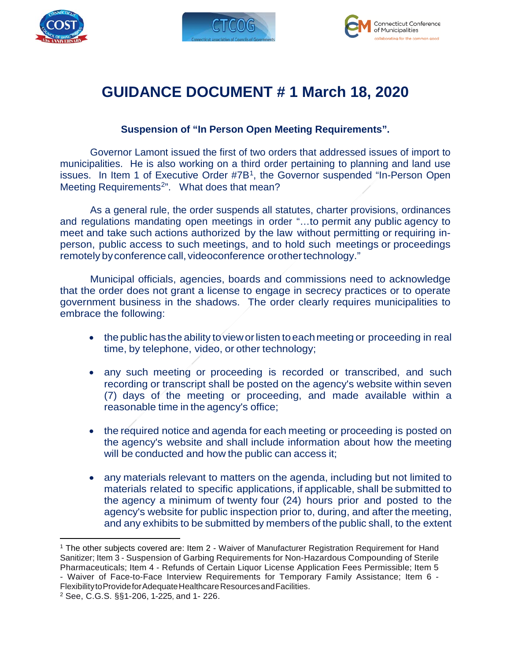





## **GUIDANCE DOCUMENT # 1 March 18, 2020**

## **Suspension of "In Person Open Meeting Requirements".**

Governor Lamont issued the first of two orders that addressed issues of import to municipalities. He is also working on a third order pertaining to planning and land use issues. In Item 1 of Executive Order #7B<sup>1</sup>, the Governor suspended "In-Person Open Meeting Requirements<sup>2</sup>". What does that mean?

As a general rule, the order suspends all statutes, charter provisions, ordinances and regulations mandating open meetings in order "…to permit any public agency to meet and take such actions authorized by the law without permitting or requiring inperson, public access to such meetings, and to hold such meetings or proceedings remotely by conference call, videoconference or other technology."

Municipal officials, agencies, boards and commissions need to acknowledge that the order does not grant a license to engage in secrecy practices or to operate government business in the shadows. The order clearly requires municipalities to embrace the following:

- the public has the ability to view or listen to each meeting or proceeding in real time, by telephone, video, or other technology;
- any such meeting or proceeding is recorded or transcribed, and such recording or transcript shall be posted on the agency's website within seven (7) days of the meeting or proceeding, and made available within a reasonable time in the agency's office;
- the required notice and agenda for each meeting or proceeding is posted on the agency's website and shall include information about how the meeting will be conducted and how the public can access it;
- any materials relevant to matters on the agenda, including but not limited to materials related to specific applications, if applicable, shall be submitted to the agency a minimum of twenty four (24) hours prior and posted to the agency's website for public inspection prior to, during, and after the meeting, and any exhibits to be submitted by members of the public shall, to the extent

 $\overline{a}$ 

<span id="page-0-0"></span><sup>1</sup> The other subjects covered are: Item 2 - Waiver of Manufacturer Registration Requirement for Hand Sanitizer; Item 3 - Suspension of Garbing Requirements for Non-Hazardous Compounding of Sterile Pharmaceuticals; Item 4 - Refunds of Certain Liquor License Application Fees Permissible; Item 5 - Waiver of Face-to-Face Interview Requirements for Temporary Family Assistance; Item 6 - Flexibility to Provide for Adequate Healthcare Resources and Facilities.

<span id="page-0-1"></span><sup>2</sup> See, C.G.S. §§1-206, 1-225, and 1- 226.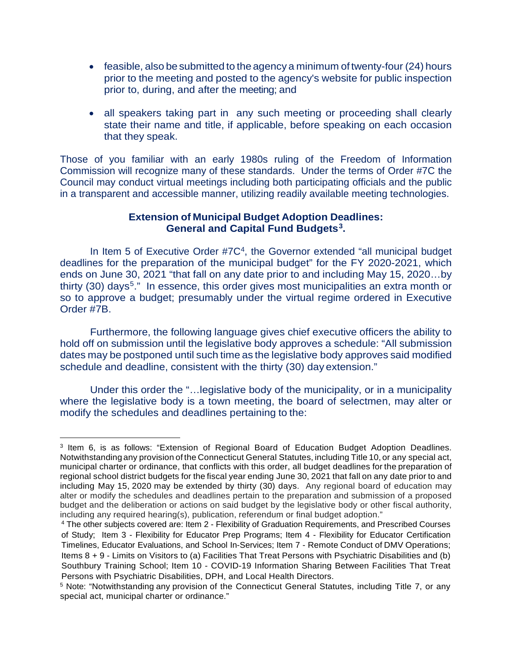- feasible, also be submitted to the agency a minimum of twenty-four (24) hours prior to the meeting and posted to the agency's website for public inspection prior to, during, and after the meeting; and
- all speakers taking part in any such meeting or proceeding shall clearly state their name and title, if applicable, before speaking on each occasion that they speak.

Those of you familiar with an early 1980s ruling of the Freedom of Information Commission will recognize many of these standards. Under the terms of Order #7C the Council may conduct virtual meetings including both participating officials and the public in a transparent and accessible manner, utilizing readily available meeting technologies.

## **Extension of Municipal Budget Adoption Deadlines: General and Capital Fund Budgets[3.](#page-1-0)**

In Item 5 of Executive Order #7C<sup>[4](#page-1-1)</sup>, the Governor extended "all municipal budget deadlines for the preparation of the municipal budget" for the FY 2020-2021, which ends on June 30, 2021 "that fall on any date prior to and including May 15, 2020…by thirty (30) days<sup>[5](#page-1-2)</sup>." In essence, this order gives most municipalities an extra month or so to approve a budget; presumably under the virtual regime ordered in Executive Order #7B.

Furthermore, the following language gives chief executive officers the ability to hold off on submission until the legislative body approves a schedule: "All submission dates may be postponed until such time as the legislative body approves said modified schedule and deadline, consistent with the thirty (30) day extension."

Under this order the "…legislative body of the municipality, or in a municipality where the legislative body is a town meeting, the board of selectmen, may alter or modify the schedules and deadlines pertaining to the:

<span id="page-1-0"></span> $\overline{a}$ <sup>3</sup> Item 6, is as follows: "Extension of Regional Board of Education Budget Adoption Deadlines. Notwithstandingany provision of the Connecticut General Statutes, including Title 10, or any special act, municipal charter or ordinance, that conflicts with this order, all budget deadlines for the preparation of regional school district budgets for the fiscal year ending June 30, 2021 that fall on any date prior to and including May 15, 2020 may be extended by thirty (30) days. Any regional board of education may alter or modify the schedules and deadlines pertain to the preparation and submission of a proposed budget and the deliberation or actions on said budget by the legislative body or other fiscal authority, including any required hearing(s), publication, referendum or final budget adoption."

<span id="page-1-1"></span><sup>4</sup> The other subjects covered are: Item 2 - Flexibility of Graduation Requirements, and Prescribed Courses of Study; Item 3 - Flexibility for Educator Prep Programs; Item 4 - Flexibility for Educator Certification Timelines, Educator Evaluations, and School In-Services; Item 7 - Remote Conduct of DMV Operations; Items 8 + 9 - Limits on Visitors to (a) Facilities That Treat Persons with Psychiatric Disabilities and (b) Southbury Training School; Item 10 - COVID-19 Information Sharing Between Facilities That Treat Persons with Psychiatric Disabilities, DPH, and Local Health Directors.

<span id="page-1-2"></span><sup>5</sup> Note: "Notwithstanding any provision of the Connecticut General Statutes, including Title 7, or any special act, municipal charter or ordinance."